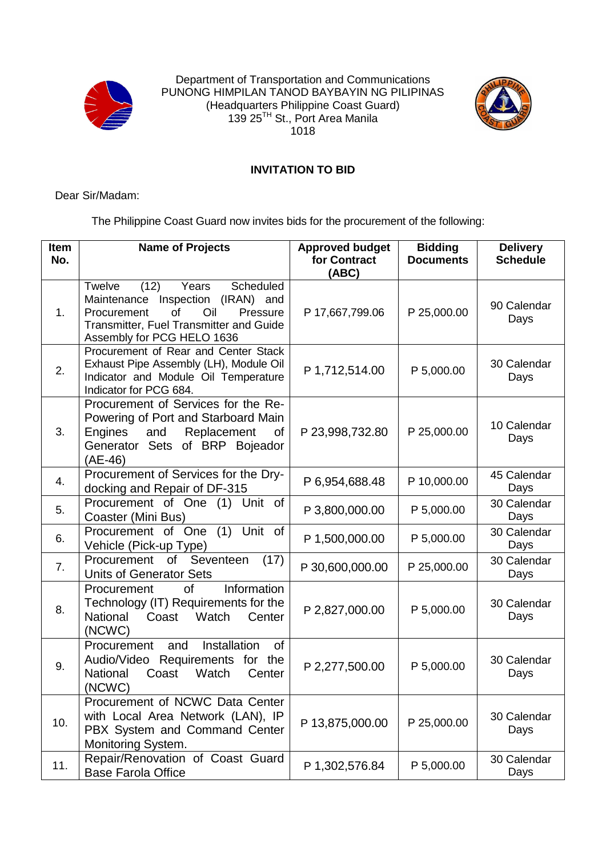

Department of Transportation and Communications PUNONG HIMPILAN TANOD BAYBAYIN NG PILIPINAS (Headquarters Philippine Coast Guard) 139 25<sup>TH</sup> St., Port Area Manila 1018



## **INVITATION TO BID**

Dear Sir/Madam:

The Philippine Coast Guard now invites bids for the procurement of the following:

| <b>Item</b><br>No. | <b>Name of Projects</b>                                                                                                                                                                           | <b>Approved budget</b><br>for Contract<br>(ABC) | <b>Bidding</b><br><b>Documents</b> | <b>Delivery</b><br><b>Schedule</b> |
|--------------------|---------------------------------------------------------------------------------------------------------------------------------------------------------------------------------------------------|-------------------------------------------------|------------------------------------|------------------------------------|
| 1.                 | (12)<br>Years<br>Scheduled<br><b>Twelve</b><br>Maintenance Inspection (IRAN) and<br>of<br>Oil<br>Procurement<br>Pressure<br>Transmitter, Fuel Transmitter and Guide<br>Assembly for PCG HELO 1636 | P 17,667,799.06                                 | P 25,000.00                        | 90 Calendar<br>Days                |
| 2.                 | Procurement of Rear and Center Stack<br>Exhaust Pipe Assembly (LH), Module Oil<br>Indicator and Module Oil Temperature<br>Indicator for PCG 684.                                                  | P 1,712,514.00                                  | P 5,000.00                         | 30 Calendar<br>Days                |
| 3.                 | Procurement of Services for the Re-<br>Powering of Port and Starboard Main<br>Engines<br>Replacement<br>and<br>Οf<br>Generator Sets of BRP Bojeador<br>(AE-46)                                    | P 23,998,732.80                                 | P 25,000.00                        | 10 Calendar<br>Days                |
| 4.                 | Procurement of Services for the Dry-<br>docking and Repair of DF-315                                                                                                                              | P 6,954,688.48                                  | P 10,000.00                        | 45 Calendar<br>Days                |
| 5.                 | Procurement of One (1) Unit of<br>Coaster (Mini Bus)                                                                                                                                              | P 3,800,000.00                                  | P 5,000.00                         | 30 Calendar<br>Days                |
| 6.                 | $(1)$ Unit of<br>Procurement of One<br>Vehicle (Pick-up Type)                                                                                                                                     | P 1,500,000.00                                  | P 5,000.00                         | 30 Calendar<br>Days                |
| 7 <sub>1</sub>     | Procurement of Seventeen<br>(17)<br><b>Units of Generator Sets</b>                                                                                                                                | P 30,600,000.00                                 | P 25,000.00                        | 30 Calendar<br>Days                |
| 8.                 | of<br>Information<br>Procurement<br>Technology (IT) Requirements for the<br><b>National</b><br>Watch<br>Coast<br>Center<br>(NCWC)                                                                 | P 2,827,000.00                                  | P 5,000.00                         | 30 Calendar<br>Days                |
| 9.                 | Installation<br>Procurement<br>and<br>0f<br>Audio/Video Requirements for the<br>Coast<br>Watch<br>Center<br><b>National</b><br>(NCWC)                                                             | P 2,277,500.00                                  | P 5,000.00                         | 30 Calendar<br>Days                |
| 10.                | Procurement of NCWC Data Center<br>with Local Area Network (LAN), IP<br>PBX System and Command Center<br>Monitoring System.                                                                       | P 13,875,000.00                                 | P 25,000.00                        | 30 Calendar<br>Days                |
| 11.                | Repair/Renovation of Coast Guard<br><b>Base Farola Office</b>                                                                                                                                     | P 1,302,576.84                                  | P 5,000.00                         | 30 Calendar<br>Days                |